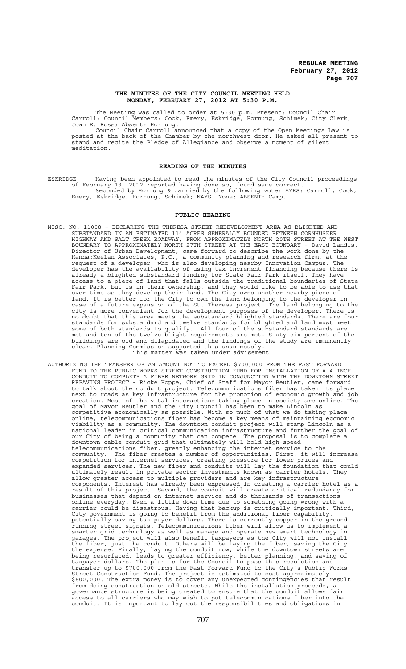### **THE MINUTES OF THE CITY COUNCIL MEETING HELD MONDAY, FEBRUARY 27, 2012 AT 5:30 P.M.**

The Meeting was called to order at 5:30 p.m. Present: Council Chair Carroll; Council Members: Cook, Emery, Eskridge, Hornung, Schimek; City Clerk, Joan E. Ross; Absent: Hornung.

Council Chair Carroll announced that a copy of the Open Meetings Law is posted at the back of the Chamber by the northwest door. He asked all present to stand and recite the Pledge of Allegiance and observe a moment of silent meditation.

#### **READING OF THE MINUTES**

ESKRIDGE Having been appointed to read the minutes of the City Council proceedings of February 13, 2012 reported having done so, found same correct. Seconded by Hornung & carried by the following vote: AYES: Carroll, Cook, Emery, Eskridge, Hornung, Schimek; NAYS: None; ABSENT: Camp.

## **PUBLIC HEARING**

- MISC. NO. 11008 DECLARING THE THERESA STREET REDEVELOPMENT AREA AS BLIGHTED AND SUBSTANDARD IN AN ESTIMATED 114 ACRES GENERALLY BOUNDED BETWEEN CORNHUSKER HIGHWAY AND SALT CREEK ROADWAY, FROM APPROXIMATELY NORTH 20TH STREET AT THE WEST BOUNDARY TO APPROXIMATELY NORTH 27TH STREET AT THE EAST BOUNDARY - David Landis, Director of Urban Development, came forward to describe the work done by the Hanna:Keelan Associates, P.C., a community planning and research firm, at the request of a developer, who is also developing nearby Innovation Campus. The developer has the availability of using tax increment financing because there is already a blighted substandard finding for State Fair Park itself. They have access to a piece of land that falls outside the traditional boundaries of State Fair Park, but is in their ownership, and they would like to be able to use that over time as they develop their land. The City owns another nearby piece of land. It is better for the City to own the land belonging to the developer in case of a future expansion of the St. Theresa project. The land belonging to the city is more convenient for the development purposes of the developer. There is no doubt that this area meets the substandard blighted standards. There are four standards for substandard and twelve standards for blighted and land must meet some of both standards to qualify. All four of the substandard standards are met and ten of the twelve blight requirements are met. Sixty-six percent of the buildings are old and dilapidated and the findings of the study are imminently clear. Planning Commission supported this unanimously. This matter was taken under advisement.
- AUTHORIZING THE TRANSFER OF AN AMOUNT NOT TO EXCEED \$700,000 FROM THE FAST FORWARD FUND TO THE PUBLIC WORKS STREET CONSTRUCTION FUND FOR INSTALLATION OF A 4 INCH CONDUIT TO COMPLETE A FIBER NETWORK GRID IN CONJUNCTION WITH THE DOWNTOWN STREET REPAVING PROJECT - Ricke Hoppe, Chief of Staff for Mayor Beutler, came forward to talk about the conduit project. Telecommunications fiber has taken its place next to roads as key infrastructure for the promotion of economic growth and job creation. Most of the vital interactions taking place in society are online. The goal of Mayor Beutler and the City Council has been to make Lincoln as competitive economically as possible. With so much of what we do taking place online, telecommunications fiber has become a key means of maintaining economic viability as a community. The downtown conduit project will stamp Lincoln as a national leader in critical communication infrastructure and further the goal of our City of being a community that can compete. The proposal is to complete a downtown cable conduit grid that ultimately will hold high-speed telecommunications fiber, greatly enhancing the internet service to the community. The fiber creates a number of opportunities. First, it will increase competition for internet services, creating pressure for lower prices and expanded services. The new fiber and conduits will lay the foundation that could ultimately result in private sector investments known as carrier hotels. They allow greater access to multiple providers and are key infrastructure components. Interest has already been expressed in creating a carrier hotel as a result of this project. Second, the conduit will create critical redundancy for businesses that depend on internet service and do thousands of transactions online everyday. Even a little down time due to something going wrong with a carrier could be disastrous. Having that backup is critically important. Third, City government is going to benefit from the additional fiber capability, potentially saving tax payer dollars. There is currently copper in the ground running street signals. Telecommunications fiber will allow us to implement a smarter grid technology as well as manage and operate new smart technology in garages. The project will also benefit taxpayers as the City will not install the fiber, just the conduit. Others will be laying the fiber, saving the City the expense. Finally, laying the conduit now, while the downtown streets are being resurfaced, leads to greater efficiency, better planning, and saving of taxpayer dollars. The plan is for the Council to pass this resolution and transfer up to \$700,000 from the Fast Forward Fund to the City's Public Works Street Construction Fund. The project is estimated to cost approximately \$600,000. The extra money is to cover any unexpected contingencies that result from doing construction on old streets. While the installation proceeds, a governance structure is being created to ensure that the conduit allows fair access to all carriers who may wish to put telecommunications fiber into the conduit. It is important to lay out the responsibilities and obligations in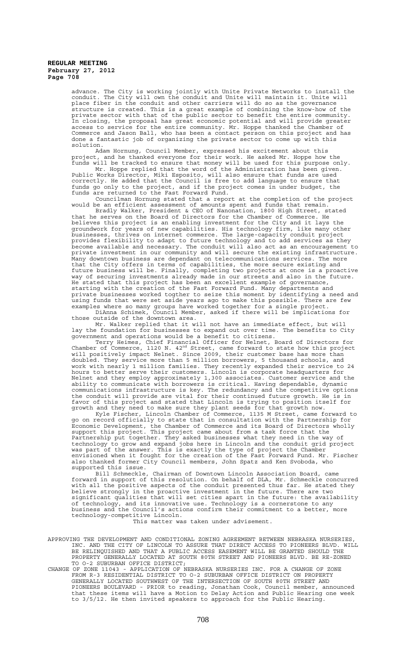> advance. The City is working jointly with Unite Private Networks to install the conduit. The City will own the conduit and Unite will maintain it. Unite will place fiber in the conduit and other carriers will do so as the governance structure is created. This is a great example of combining the know-how of the private sector with that of the public sector to benefit the entire community. In closing, the proposal has great economic potential and will provide greater access to service for the entire community. Mr. Hoppe thanked the Chamber of Commerce and Jason Ball, who has been a contact person on this project and has done a fantastic job of organizing the private sector to come up with this solution.

Adam Hornung, Council Member, expressed his excitement about this project, and he thanked everyone for their work. He asked Mr. Hoppe how the funds will be tracked to ensure that money will be used for this purpose only. Mr. Hoppe replied that the word of the Administration has been given. Public Works Director, Miki Esposito, will also ensure that funds are used

correctly. He added that the Council is free to add language to ensure that funds go only to the project, and if the project comes in under budget, the funds are returned to the Fast Forward Fund.

Councilman Hornung stated that a report at the completion of the project would be an efficient assessment of amounts spent and funds that remain

Bradly Walker, President & CEO of Nanonation, 1800 High Street, stated that he serves on the Board of Directors for the Chamber of Commerce. He believes this project is an enabling investment for the City and it lays the groundwork for years of new capabilities. His technology firm, like many other businesses, thrives on internet commerce. The large-capacity conduit project provides flexibility to adapt to future technology and to add services as they become available and necessary. The conduit will also act as an encouragement to private investment in our community and will secure the existing infrastructure. Many downtown business are dependant on telecommunications services. The more that the City offers in terms of capabilities, the more secure existing and future business will be. Finally, completing two projects at once is a proactive way of securing investments already made in our streets and also in the future. He stated that this project has been an excellent example of governance, starting with the creation of the Fast Forward Fund. Many departments and private businesses worked togther to seize this moment by identifying a need and using funds that were set aside years ago to make this possible. There are few examples where so many groups have worked together for a single project.

DiAnna Schimek, Council Member, asked if there will be implications for those outside of the downtown area.

Mr. Walker replied that it will not have an immediate effect, but will lay the foundation for businesses to expand out over time. The benefits to City government and operations would be a benefit to citizens.

Terry Heimes, Chief Financial Officer for Nelnet, Board of Directors for<br>Chamber of Commerce, 1120 N. 42<sup>nd</sup> Street, came forward to state how this project will positively impact Nelnet. Since 2009, their customer base has more than doubled. They service more than 5 million borrowers, 5 thousand schools, and work with nearly 1 million families. They recently expanded their service to 24 hours to better serve their customers. Lincoln is corporate headquarters for Nelnet and they employ approximate1y 1,300 associates. Customer service and the ability to communicate with borrowers is critical. Having dependable, dynamic communications infrastructure is key. The redundancy and the competitive options the conduit will provide are vital for their continued future growth. He is in favor of this project and stated that Lincoln is trying to position itself for growth and they need to make sure they plant seeds for that growth now.

Kyle Fischer, Lincoln Chamber of Commerce, 1135 M Street, came forward to go on record officially to state that in consultation with the Partnership for Economic Development, the Chamber of Commerce and its Board of Directors wholly support this project. This project came about from a task force that the Partnership put together. They asked businesses what they need in the way of technology to grow and expand jobs here in Lincoln and the conduit grid project was part of the answer. This is exactly the type of project the Chamber envisioned when it fought for the creation of the Fast Forward Fund. Mr. Fischer also thanked former City Council members, John Spatz and Ken Svoboda, who supported this issue.

Bill Schmeckle, Chairman of Downtown Lincoln Association Board, came forward in support of this resolution. On behalf of DLA, Mr. Schmeckle concurred with all the positive aspects of the conduit presented thus far. He stated they believe strongly in the proactive investment in the future. There are two significant qualities that will set cities apart in the future: the availability of technology, and its innovative use. Technology is a cornerstone to any business and the Council's actions confirm their commitment to a better, more technology-competitive Lincoln.

This matter was taken under advisement.

APPROVING THE DEVELOPMENT AND CONDITIONAL ZONING AGREEMENT BETWEEN NEBRASKA NURSERIES, INC. AND THE CITY OF LINCOLN TO ASSURE THAT DIRECT ACCESS TO PIONEERS BLVD. WILL BE RELINQUISHED AND THAT A PUBLIC ACCESS EASEMENT WILL BE GRANTED SHOULD THE PROPERTY GENERALLY LOCATED AT SOUTH 80TH STREET AND PIONEERS BLVD. BE RE-ZONED TO O-2 SUBURBAN OFFICE DISTRICT;

CHANGE OF ZONE 11043 - APPLICATION OF NEBRASKA NURSERIES INC. FOR A CHANGE OF ZONE FROM R-3 RESIDENTIAL DISTRICT TO O-2 SUBURBAN OFFICE DISTRICT ON PROPERTY GENERALLY LOCATED SOUTHWEST OF THE INTERSECTION OF SOUTH 80TH STREET AND PIONEERS BOULEVARD - PRIOR to reading, Jonathan Cook, Council member, announced that these items will have a Motion to Delay Action and Public Hearing one week to 3/5/12. He then invited speakers to approach for the Public Hearing.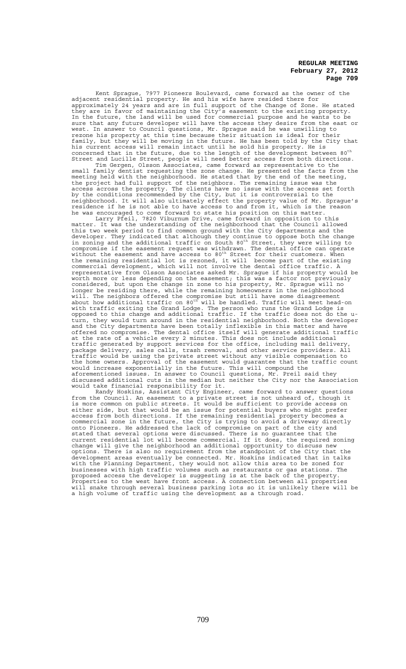Kent Sprague, 7977 Pioneers Boulevard, came forward as the owner of the adjacent residential property. He and his wife have resided there for approximately 24 years and are in full support of the Change of Zone. He stated they are in favor of maintaining the City's easement to the existing property. In the future, the land will be used for commercial purpose and he wants to be sure that any future developer will have the access they desire from the east or In answer to Council questions, Mr. Sprague said he was unwilling rezone his property at this time because their situation is ideal for their family, but they will be moving in the future. He has been told by the City that his current access will remain intact until he sold his property. He is concerned that in the future, due to the length of the development between 80<sup>th</sup> Street and Lucille Street, people will need better access from both directions.

Tim Gergen, Olsson Associates, came forward as representative to the small family dentist requesting the zone change. He presented the facts from the meeting held with the neighborhood. He stated that by the end of the meeting, the project had full support of the neighbors. The remaining issue was the access across the property. The clients have no issue with the access set forth by the conditions recommended by the City, but it is controversial to the neighborhood. It will also ultimately effect the property value of Mr. Sprague's residence if he is not able to have access to and from it, which is the reason he was encouraged to come forward to state his position on this matter.

Larry Pfeil, 7820 Viburnum Drive, came forward in opposition to this matter. It was the understanding of the neighborhood that the Council allowed this two week period to find common ground with the City departments and the developer. They indicated that although they continue to oppose both the change<br>in zoning and the additional traffic on South 80<sup>th</sup> Street, they were willing to compromise if the easement request was withdrawn. The dental office can operate<br>without the easement and have access to 80<sup>th</sup> Street for their customers. When the remaining residential lot is rezoned, it will become part of the existing commercial development, which will not involve the dental office traffic. A representative from Olsson Associates asked Mr. Sprague if his property would be worth more or less depending on the easement; this was a factor not previously considered, but upon the change in zone to his property, Mr. Sprague will no longer be residing there, while the remaining homeowners in the neighborhood will. The neighbors offered the compromise but still have some disagreement<br>about how additional traffic on 80<sup>th</sup> will be handled. Traffic will meet head-on with traffic exiting the Grand Lodge. The person who runs the Grand Lodge is opposed to this change and additional traffic. If the traffic does not do the uturn, they would turn around in the residential neighborhood. Both the developer and the City departments have been totally inflexible in this matter and have offered no compromise. The dental office itself will generate additional traffic at the rate of a vehicle every 2 minutes. This does not include additional traffic generated by support services for the office, including mail delivery, package delivery, sales calls, trash removal, and other service providers. All traffic would be using the private street without any visible compensation to the home owners. Approval of the easement would guarantee that the traffic count would increase exponentially in the future. This will compound the aforementioned issues. In answer to Council questions, Mr. Preil said they discussed additional cuts in the median but neither the City nor the Association would take financial responsibility for it.

Randy Hoskins, Assistant City Engineer, came forward to answer questions from the Council. An easement to a private street is not unheard of, though it is more common on public streets. It would be sufficient to provide access on either side, but that would be an issue for potential buyers who might prefer access from both directions. If the remaining residential property becomes a commercial zone in the future, the City is trying to avoid a driveway directly onto Pioneers. He addressed the lack of compromise on part of the city and stated that several options were discussed. There is no guarantee that the current residential lot will become commercial. If it does, the required zoning change will give the neighborhood an additional opportunity to discuss new options. There is also no requirement from the standpoint of the City that the development areas eventually be connected. Mr. Hoskins indicated that in talks with the Planning Department, they would not allow this area to be zoned for businesses with high traffic volumes such as restaurants or gas stations. The proposed access the developer is suggesting is at the back of the property. Properties to the west have front access. A connection between all properties will snake through several business parking lots so it is unlikely there will be a high volume of traffic using the development as a through road.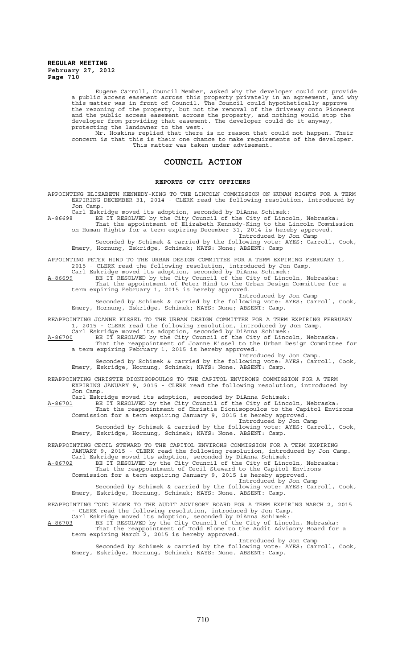Eugene Carroll, Council Member, asked why the developer could not provide a public access easement across this property privately in an agreement, and why this matter was in front of Council. The Council could hypothetically approve the rezoning of the property, but not the removal of the driveway onto Pioneers and the public access easement across the property, and nothing would stop the developer from providing that easement. The developer could do it anyway, protecting the landowner to the west.

Mr. Hoskins replied that there is no reason that could not happen. Their concern is that this is their one chance to make requirements of the developer. This matter was taken under advisement.

# **COUNCIL ACTION**

#### **REPORTS OF CITY OFFICERS**

APPOINTING ELIZABETH KENNEDY-KING TO THE LINCOLN COMMISSION ON HUMAN RIGHTS FOR A TERM EXPIRING DECEMBER 31, 2014 - CLERK read the following resolution, introduced by Jon Camp.

Carl Eskridge moved its adoption, seconded by DiAnna Schimek:

A-86698 BE IT RESOLVED by the City Council of the City of Lincoln, Nebraska: That the appointment of Elizabeth Kennedy-King to the Lincoln Commission

on Human Rights for a term expiring December 31, 2014 is hereby approved. Introduced by Jon Camp

Seconded by Schimek & carried by the following vote: AYES: Carroll, Cook, Emery, Hornung, Eskridge, Schimek; NAYS: None; ABSENT: Camp

APPOINTING PETER HIND TO THE URBAN DESIGN COMMITTEE FOR A TERM EXPIRING FEBRUARY 1, 2015 - CLERK read the following resolution, introduced by Jon Camp.

Carl Eskridge moved its adoption, seconded by DiAnna Schimek:

A-86699 BE IT RESOLVED by the City Council of the City of Lincoln, Nebraska: That the appointment of Peter Hind to the Urban Design Committee for a term expiring February 1, 2015 is hereby approved.

Introduced by Jon Camp

Seconded by Schimek & carried by the following vote: AYES: Carroll, Cook, Emery, Hornung, Eskridge, Schimek; NAYS: None; ABSENT: Camp.

REAPPOINTING JOANNE KISSEL TO THE URBAN DESIGN COMMITTEE FOR A TERM EXPIRING FEBRUARY 1, 2015 - CLERK read the following resolution, introduced by Jon Camp.

Carl Eskridge moved its adoption, seconded by DiAnna Schimek:

A-86700 BE IT RESOLVED by the City Council of the City of Lincoln, Nebraska: That the reappointment of Joanne Kissel to the Urban Design Committee for a term expiring February 1, 2015 is hereby approved.

Introduced by Jon Camp.

Seconded by Schimek & carried by the following vote: AYES: Carroll, Cook, Emery, Eskridge, Hornung, Schimek; NAYS: None. ABSENT: Camp.

REAPPOINTING CHRISTIE DIONISOPOULOS TO THE CAPITOL ENVIRONS COMMISSION FOR A TERM EXPIRING JANUARY 9, 2015 - CLERK read the following resolution, introduced by Jon Camp.

Carl Eskridge moved its adoption, seconded by DiAnna Schimek:

A-86701 BE IT RESOLVED by the City Council of the City of Lincoln, Nebraska: That the reappointment of Christie Dionisopoulos to the Capitol Environs Commission for a term expiring January 9, 2015 is hereby approved. Introduced by Jon Camp

Seconded by Schimek & carried by the following vote: AYES: Carroll, Cook, Emery, Eskridge, Hornung, Schimek; NAYS: None. ABSENT: Camp.

REAPPOINTING CECIL STEWARD TO THE CAPITOL ENVIRONS COMMISSION FOR A TERM EXPIRING JANUARY 9, 2015 - CLERK read the following resolution, introduced by Jon Camp.

Carl Eskridge moved its adoption, seconded by DiAnna Schimek: A-86702 BE IT RESOLVED by the City Council of the City of Lincoln, Nebraska:

That the reappointment of Cecil Steward to the Capitol Environs Commission for a term expiring January 9, 2015 is hereby approved.

Introduced by Jon Camp

Seconded by Schimek & carried by the following vote: AYES: Carroll, Cook, Emery, Eskridge, Hornung, Schimek; NAYS: None. ABSENT: Camp.

REAPPOINTING TODD BLOME TO THE AUDIT ADVISORY BOARD FOR A TERM EXPIRING MARCH 2, 2015 - CLERK read the following resolution, introduced by Jon Camp.

Carl Eskridge moved its adoption, seconded by DiAnna Schimek:

A-86703 BE IT RESOLVED by the City Council of the City of Lincoln, Nebraska: That the reappointment of Todd Blome to the Audit Advisory Board for a term expiring March 2, 2015 is hereby approved.

Introduced by Jon Camp

Seconded by Schimek & carried by the following vote: AYES: Carroll, Cook, Emery, Eskridge, Hornung, Schimek; NAYS: None. ABSENT: Camp.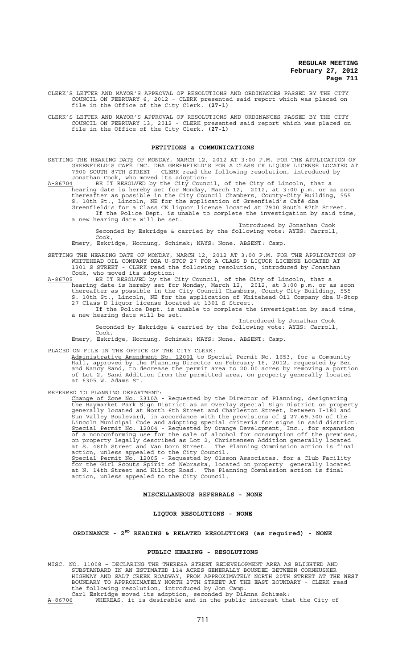- CLERK'S LETTER AND MAYOR'S APPROVAL OF RESOLUTIONS AND ORDINANCES PASSED BY THE CITY COUNCIL ON FEBRUARY 6, 2012 - CLERK presented said report which was placed on file in the Office of the City Clerk. **(27-1)**
- CLERK'S LETTER AND MAYOR'S APPROVAL OF RESOLUTIONS AND ORDINANCES PASSED BY THE CITY COUNCIL ON FEBRUARY 13, 2012 - CLERK presented said report which was placed on file in the Office of the City Clerk. **(27-1)**

# **PETITIONS & COMMUNICATIONS**

- SETTING THE HEARING DATE OF MONDAY, MARCH 12, 2012 AT 3:00 P.M. FOR THE APPLICATION OF GREENFIELD'S CAFÉ INC. DBA GREENFIELD'S FOR A CLASS CK LIQUOR LICENSE LOCATED AT 7900 SOUTH 87TH STREET - CLERK read the following resolution, introduced by Jonathan Cook, who moved its adoption:
- A-86704 BE IT RESOLVED by the City Council, of the City of Lincoln, that a hearing date is hereby set for Monday, March 12, 2012, at 3:00 p.m. or as soon thereafter as possible in the City Council Chambers, County-City Building, 555 S. 10th St., Lincoln, NE for the application of Greenfield's Café dba Greenfield's for a Class CK liquor license located at 7900 South 87th Street. If the Police Dept. is unable to complete the investigation by said time, a new hearing date will be set.
	- Introduced by Jonathan Cook Seconded by Eskridge & carried by the following vote: AYES: Carroll, Cook,

Emery, Eskridge, Hornung, Schimek; NAYS: None. ABSENT: Camp.

- SETTING THE HEARING DATE OF MONDAY, MARCH 12, 2012 AT 3:00 P.M. FOR THE APPLICATION OF WHITEHEAD OIL COMPANY DBA U-STOP 27 FOR A CLASS D LIQUOR LICENSE LOCATED AT 1301 S STREET - CLERK read the following resolution, introduced by Jonathan Cook, who moved its adoption:
- A-86705 BE IT RESOLVED by the City Council, of the City of Lincoln, that a hearing date is hereby set for Monday, March 12, 2012, at 3:00 p.m. or as soon thereafter as possible in the City Council Chambers, County-City Building, 555 S. 10th St., Lincoln, NE for the application of Whitehead Oil Company dba U-Stop 27 Class D liquor license located at 1301 S Street. If the Police Dept. is unable to complete the investigation by said time,
	- a new hearing date will be set. Introduced by Jonathan Cook

Seconded by Eskridge & carried by the following vote: AYES: Carroll, Cook,

Emery, Eskridge, Hornung, Schimek; NAYS: None. ABSENT: Camp.

### PLACED ON FILE IN THE OFFICE OF THE CITY CLERK:

Administrative Amendment No. 12001 to Special Permit No. 1653, for a Community Hall, approved by the Planning Director on February 16, 2012, requested by Ben Hall, approved by the Planning Director on February 16, 2012, requested by Ben and Nancy Sand, to decrease the permit area to 20.00 acres by removing a portion of Lot 2, Sand Addition from the permitted area, on property generally located at 6305 W. Adams St.

REFERRED TO PLANNING DEPARTMENT:

Change of Zone No. 3310A - Requested by the Director of Planning, designating the Haymarket Park Sign District as an Overlay Special Sign District on property generally located at North 6th Street and Charleston Street, between I-180 and Sun Valley Boulevard, in accordance with the provisions of § 27.69.300 of the Lincoln Municipal Code and adopting special criteria for signs in said district. Special Permit No. 12004 - Requested by Orange Development, Inc., for expansion of a nonconforming use for the sale of alcohol for consumption off the premises, on property legally described as Lot 2, Christensen Addition generally located at S. 48th Street and Van Dorn Street. The Planning Commission action is final action, unless appealed to the City Council. Special Permit No. 12005 - Requested by Olsson Associates, for a Club Facility for the Girl Scouts Spirit of Nebraska, located on property generally located at N. 14th Street and Hilltop Road. The Planning Commission action is final action, unless appealed to the City Council.

#### **MISCELLANEOUS REFERRALS - NONE**

#### **LIQUOR RESOLUTIONS - NONE**

### **ORDINANCE - 2ND READING & RELATED RESOLUTIONS (as required) - NONE**

#### **PUBLIC HEARING - RESOLUTIONS**

MISC. NO. 11008 – DECLARING THE THERESA STREET REDEVELOPMENT AREA AS BLIGHTED AND SUBSTANDARD IN AN ESTIMATED 114 ACRES GENERALLY BOUNDED BETWEEN CORNHUSKER HIGHWAY AND SALT CREEK ROADWAY, FROM APPROXIMATELY NORTH 20TH STREET AT THE WEST BOUNDARY TO APPROXIMATELY NORTH 27TH STREET AT THE EAST BOUNDARY - CLERK read the following resolution, introduced by Jon Camp. Carl Eskridge moved its adoption, seconded by DiAnna Schimek:

A-86706 WHEREAS, it is desirable and in the public interest that the City of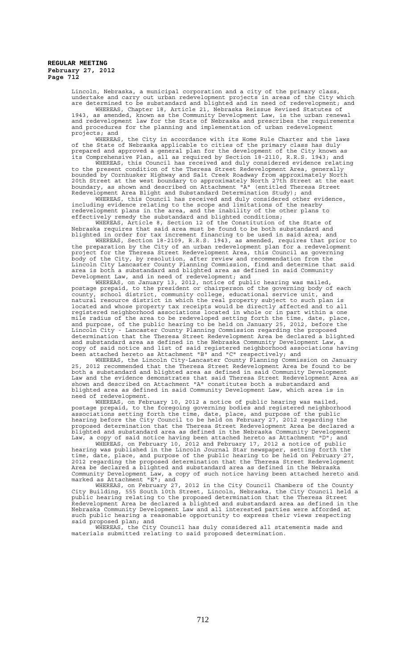Lincoln, Nebraska, a municipal corporation and a city of the primary class, undertake and carry out urban redevelopment projects in areas of the City which are determined to be substandard and blighted and in need of redevelopment; and WHEREAS, Chapter 18, Article 21, Nebraska Reissue Revised Statutes of 1943, as amended, known as the Community Development Law, is the urban renewal and redevelopment law for the State of Nebraska and prescribes the requirements and procedures for the planning and implementation of urban redevelopment projects; and

WHEREAS, the City in accordance with its Home Rule Charter and the laws of the State of Nebraska applicable to cities of the primary class has duly prepared and approved a general plan for the development of the City known as its Comprehensive Plan, all as required by Section 18-2110, R.R.S. 1943; and

WHEREAS, this Council has received and duly considered evidence relating to the present condition of the Theresa Street Redevelopment Area, generally bounded by Cornhusker Highway and Salt Creek Roadway from approximately North 20th Street at the west boundary to approximately North 27th Street at the east boundary, as shown and described on Attachment "A" (entitled Theresa Street Redevelopment Area Blight and Substandard Determination Study); and

WHEREAS, this Council has received and duly considered other evidence, including evidence relating to the scope and limitations of the nearby redevelopment plans in the area, and the inability of the other plans to effectively remedy the substandard and blighted conditions;

WHEREAS, Article 8, Section 12 of the Constitution of the State of Nebraska requires that said area must be found to be both substandard and blighted in order for tax increment financing to be used in said area; and

WHEREAS, Section 18-2109, R.R.S. 1943, as amended, requires that prior to the preparation by the City of an urban redevelopment plan for a redevelopment project for the Theresa Street Redevelopment Area, this Council as governing body of the City, by resolution, after review and recommendation from the Lincoln City Lancaster County Planning Commission, find and determine that said area is both a substandard and blighted area as defined in said Community Development Law, and in need of redevelopment; and

WHEREAS, on January 13, 2012, notice of public hearing was mailed, postage prepaid, to the president or chairperson of the governing body of each county, school district, community college, educational service unit, and natural resource district in which the real property subject to such plan is located and whose property tax receipts would be directly affected and to all registered neighborhood associations located in whole or in part within a one mile radius of the area to be redeveloped setting forth the time, date, place, and purpose, of the public hearing to be held on January 25, 2012, before the Lincoln City - Lancaster County Planning Commission regarding the proposed determination that the Theresa Street Redevelopment Area be declared a blighted and substandard area as defined in the Nebraska Community Development Law, a copy of said notice and list of said registered neighborhood associations having been attached hereto as Attachment "B" and "C" respectively; and

WHEREAS, the Lincoln City-Lancaster County Planning Commission on January 25, 2012 recommended that the Theresa Street Redevelopment Area be found to be both a substandard and blighted area as defined in said Community Development Law and the evidence demonstrates that said Theresa Street Redevelopment Area as shown and described on Attachment "A" constitutes both a substandard and blighted area as defined in said Community Development Law, which area is in need of redevelopment.

WHEREAS, on February 10, 2012 a notice of public hearing was mailed, postage prepaid, to the foregoing governing bodies and registered neighborhood associations setting forth the time, date, place, and purpose of the public hearing before the City Council to be held on February 27, 2012 regarding the proposed determination that the Theresa Street Redevelopment Area be declared a blighted and substandard area as defined in the Nebraska Community Development Law, a copy of said notice having been attached hereto as Attachment "D"; and

WHEREAS, on February 10, 2012 and February 17, 2012 a notice of public hearing was published in the Lincoln Journal Star newspaper, setting forth the time, date, place, and purpose of the public hearing to be held on February 27, 2012 regarding the proposed determination that the Theresa Street Redevelopment Area be declared a blighted and substandard area as defined in the Nebraska Community Development Law, a copy of such notice having been attached hereto and marked as Attachment "E"; and

WHEREAS, on February 27, 2012 in the City Council Chambers of the County City Building, 555 South 10th Street, Lincoln, Nebraska, the City Council held a public hearing relating to the proposed determination that the Theresa Street Redevelopment Area be declared a blighted and substandard area as defined in the Nebraska Community Development Law and all interested parties were afforded at such public hearing a reasonable opportunity to express their views respecting said proposed plan; and

WHEREAS, the City Council has duly considered all statements made and materials submitted relating to said proposed determination.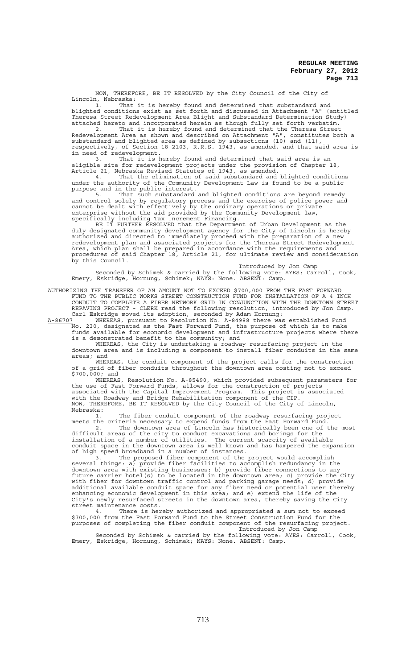NOW, THEREFORE, BE IT RESOLVED by the City Council of the City of Lincoln, Nebraska:

1. That it is hereby found and determined that substandard and blighted conditions exist as set forth and discussed in Attachment "A" (entitled Theresa Street Redevelopment Area Blight and Substandard Determination Study) attached hereto and incorporated herein as though fully set forth verbatim.

2. That it is hereby found and determined that the Theresa Street Redevelopment Area as shown and described on Attachment "A", constitutes both a substandard and blighted area as defined by subsections (10) and (11), respectively, of Section 18-2103, R.R.S. 1943, as amended, and that said area is in need of redevelopment.

3. That it is hereby found and determined that said area is an eligible site for redevelopment projects under the provision of Chapter 18, Article 21, Nebraska Revised Statutes of 1943, as amended.

4. That the elimination of said substandard and blighted conditions under the authority of the Community Development Law is found to be a public purpose and in the public interest.

5. That such substandard and blighted conditions are beyond remedy and control solely by regulatory process and the exercise of police power and cannot be dealt with effectively by the ordinary operations or private enterprise without the aid provided by the Community Development law, specifically including Tax Increment Financing.

BE IT FURTHER RESOLVED that the Department of Urban Development as the duly designated community development agency for the City of Lincoln is hereby authorized and directed to immediately proceed with the preparation of a new redevelopment plan and associated projects for the Theresa Street Redevelopment Area, which plan shall be prepared in accordance with the requirements and procedures of said Chapter 18, Article 21, for ultimate review and consideration by this Council.

Introduced by Jon Camp

Seconded by Schimek & carried by the following vote: AYES: Carroll, Cook, Emery, Eskridge, Hornung, Schimek; NAYS: None. ABSENT: Camp.

AUTHORIZING THE TRANSFER OF AN AMOUNT NOT TO EXCEED \$700,000 FROM THE FAST FORWARD FUND TO THE PUBLIC WORKS STREET CONSTRUCTION FUND FOR INSTALLATION OF A 4 INCH CONDUIT TO COMPLETE A FIBER NETWORK GRID IN CONJUNCTION WITH THE DOWNTOWN STREET REPAVING PROJECT - CLERK read the following resolution, introduced by Jon Camp. Carl Eskridge moved its adoption, seconded by Adam Hornung:

A-86707 MHEREAS, pursuant to Resolution No. A-84988 there was established Fund No. 230, designated as the Fast Forward Fund, the purpose of which is to make funds available for economic development and infrastructure projects where there

is a demonstrated benefit to the community; and WHEREAS, the City is undertaking a roadway resurfacing project in the downtown area and is including a component to install fiber conduits in the same areas; and

WHEREAS, the conduit component of the project calls for the construction of a grid of fiber conduits throughout the downtown area costing not to exceed \$700,000; and

WHEREAS, Resolution No. A-85490, which provided subsequent parameters for the use of Fast Forward Funds, allows for the construction of projects associated with the Capital Improvement Program. This project is associated with the Roadway and Bridge Rehabilitation component of the CIP. NOW, THEREFORE, BE IT RESOLVED by the City Council of the City of Lincoln, Nebraska:

1. The fiber conduit component of the roadway resurfacing project meets the criteria necessary to expend funds from the Fast Forward Fund. 2. The downtown area of Lincoln has historically been one of the most

difficult areas of the city to conduct excavations and borings for the installation of a number of utilities. The current scarcity of available conduit space in the downtown area is well known and has hampered the expansion of high speed broadband in a number of instances.

3. The proposed fiber component of the project would accomplish several things: a) provide fiber facilities to accomplish redundancy in the downtown area with existing businesses; b) provide fiber connections to any future carrier hotel(s) to be located in the downtown area; c) provide the City with fiber for downtown traffic control and parking garage needs; d) provide additional available conduit space for any fiber need or potential user thereby enhancing economic development in this area; and e) extend the life of the City's newly resurfaced streets in the downtown area, thereby saving the City street maintenance costs.

4. There is hereby authorized and appropriated a sum not to exceed \$700,000 from the Fast Forward Fund to the Street Construction Fund for the purposes of completing the fiber conduit component of the resurfacing project. Introduced by Jon Camp

Seconded by Schimek & carried by the following vote: AYES: Carroll, Cook, Emery, Eskridge, Hornung, Schimek; NAYS: None. ABSENT: Camp.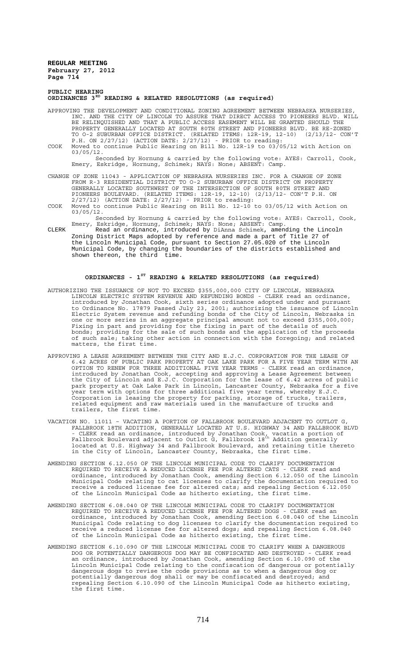#### PUBLIC HEARING<br>ORDINANCES 3<sup>RD</sup> READING & RELATED RESOLUTIONS (as required)

APPROVING THE DEVELOPMENT AND CONDITIONAL ZONING AGREEMENT BETWEEN NEBRASKA NURSERIES, INC. AND THE CITY OF LINCOLN TO ASSURE THAT DIRECT ACCESS TO PIONEERS BLVD. WILL BE RELINQUISHED AND THAT A PUBLIC ACCESS EASEMENT WILL BE GRANTED SHOULD THE PROPERTY GENERALLY LOCATED AT SOUTH 80TH STREET AND PIONEERS BLVD. BE RE-ZONED TO O-2 SUBURBAN OFFICE DISTRICT. (RELATED ITEMS: 12R-19, 12-10) (2/13/12- CON'T P.H. ON 2/27/12) (ACTION DATE: 2/27/12) - PRIOR to reading: COOK Moved to continue Public Hearing on Bill No. 12R-19 to 03/05/12 with Action on

03/05/12. Seconded by Hornung & carried by the following vote: AYES: Carroll, Cook, Emery, Eskridge, Hornung, Schimek; NAYS: None; ABSENT: Camp.

- CHANGE OF ZONE 11043 APPLICATION OF NEBRASKA NURSERIES INC. FOR A CHANGE OF ZONE FROM R-3 RESIDENTIAL DISTRICT TO O-2 SUBURBAN OFFICE DISTRICT ON PROPERTY GENERALLY LOCATED SOUTHWEST OF THE INTERSECTION OF SOUTH 80TH STREET AND PIONEERS BOULEVARD. (RELATED ITEMS: 12R-19, 12-10) (2/13/12- CON'T P.H. ON  $2/27/12$ ) (ACTION DATE:  $2/27/12$ ) - PRIOR to reading:
- COOK Moved to continue Public Hearing on Bill No. 12-10 to 03/05/12 with Action on 03/05/12. Seconded by Hornung & carried by the following vote: AYES: Carroll, Cook,
- Emery, Eskridge, Hornung, Schimek; NAYS: None; ABSENT: Camp. CLERK Read an ordinance, introduced by DiAnna Schimek, amending the Lincoln Zoning District Maps adopted by reference and made a part of Title 27 of the Lincoln Municipal Code, pursuant to Section 27.05.020 of the Lincoln Municipal Code, by changing the boundaries of the districts established and shown thereon, the third time.

# **ORDINANCES - 1ST READING & RELATED RESOLUTIONS (as required)**

- AUTHORIZING THE ISSUANCE OF NOT TO EXCEED \$355,000,000 CITY OF LINCOLN, NEBRASKA LINCOLN ELECTRIC SYSTEM REVENUE AND REFUNDING BONDS - CLERK read an ordinance, introduced by Jonathan Cook, sixth series ordinance adopted under and pursuant to Ordinance No. 17879 Passed July 23, 2001; authorizing the issuance of Lincoln Electric System revenue and refunding bonds of the City of Lincoln, Nebraska in one or more series in an aggregate principal amount not to exceed \$355,000,000; Fixing in part and providing for the fixing in part of the details of such bonds; providing for the sale of such bonds and the application of the proceeds of such sale; taking other action in connection with the foregoing; and related matters, the first time.
- APPROVING A LEASE AGREEMENT BETWEEN THE CITY AND E.J.C. CORPORATION FOR THE LEASE OF 6.42 ACRES OF PUBLIC PARK PROPERTY AT OAK LAKE PARK FOR A FIVE YEAR TERM WITH AN OPTION TO RENEW FOR THREE ADDITIONAL FIVE YEAR TERMS - CLERK read an ordinance, introduced by Jonathan Cook, accepting and approving a Lease Agreement between the City of Lincoln and E.J.C. Corporation for the lease of 6.42 acres of public park property at Oak Lake Park in Lincoln, Lancaster County, Nebraska for a five year term with options for three additional five year terms, whereby E.J.C. Corporation is leasing the property for parking, storage of trucks, trailers, related equipment and raw materials used in the manufacture of trucks and trailers, the first time.
- VACATION NO. 11011 VACATING A PORTION OF FALLBROOK BOULEVARD ADJACENT TO OUTLOT G, FALLBROOK 18TH ADDITION, GENERALLY LOCATED AT U.S. HIGHWAY 34 AND FALLBROOK BLVD - CLERK read an ordinance, introduced by Jonathan Cook, vacatin a portion of<br>Fallbrook Boulevard adjacent to Outlot G, Fallbrook 18<sup>th</sup> Addition generally located at U.S. Highway 34 and Fallbrook Boulevard, and retaining title thereto in the City of Lincoln, Lancaster County, Nebraska, the first time.
- AMENDING SECTION 6.12.050 OF THE LINCOLN MUNICIPAL CODE TO CLARIFY DOCUMENTATION REQUIRED TO RECEIVE A REDUCED LICENSE FEE FOR ALTERED CATS - CLERK read and ordinance, introduced by Jonathan Cook, amending Section 6.12.050 of the Lincoln Municipal Code relating to cat licenses to clarify the documentation required to receive a reduced license fee for altered cats; and repealing Section 6.12.050 of the Lincoln Municipal Code as hitherto existing, the first time.
- AMENDING SECTION 6.08.040 OF THE LINCOLN MUNICIPAL CODE TO CLARIFY DOCUMENTATION REQUIRED TO RECEIVE A REDUCED LICENSE FEE FOR ALTERED DOGS - CLERK read an ordinance, introduced by Jonathan Cook, amending Section 6.08.040 of the Lincoln Municipal Code relating to dog licenses to clarify the documentation required to receive a reduced license fee for altered dogs; and repealing Section 6.08.040 of the Lincoln Municipal Code as hitherto existing, the first time.
- AMENDING SECTION 6.10.090 OF THE LINCOLN MUNICIPAL CODE TO CLARIFY WHEN A DANGEROUS DOG OR POTENTIALLY DANGEROUS DOG MAY BE CONFISCATED AND DESTROYED an ordinance, introduced by Jonathan Cook, amending Section 6.10.090 of the Lincoln Municipal Code relating to the confiscation of dangerous or potentially dangerous dogs to revise the code provisions as to when a dangerous dog or potentially dangerous dog shall or may be confiscated and destroyed; and repealing Section 6.10.090 of the Lincoln Municipal Code as hitherto existing, the first time.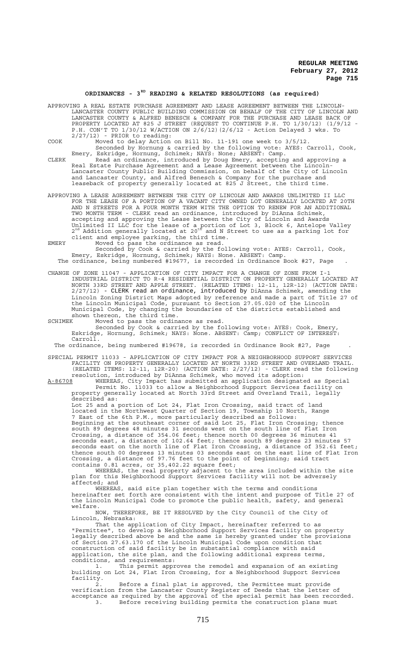# **ORDINANCES - 3RD READING & RELATED RESOLUTIONS (as required)**

APPROVING A REAL ESTATE PURCHASE AGREEMENT AND LEASE AGREEMENT BETWEEN THE LINCOLN-LANCASTER COUNTY PUBLIC BUILDING COMMISSION ON BEHALF OF THE CITY OF LINCOLN AND LANCASTER COUNTY & ALFRED BENESCH & COMPANY FOR THE PURCHASE AND LEASE BACK OF PROPERTY LOCATED AT 825 J STREET (REQUEST TO CONTINUE P.H. TO 1/30/12) (1/9/12 - P.H. CON'T TO 1/30/12 W/ACTION ON 2/6/12)(2/6/12 - Action Delayed 3 wks. To 2/27/12) - PRIOR to reading:

COOK Moved to delay Action on Bill No. 11-191 one week to 3/5/12. Seconded by Hornung & carried by the following vote: AYES: Carroll, Cook,

Emery, Eskridge, Hornung, Schimek; NAYS: None; ABSENT: Camp. CLERK Read an ordinance, introduced by Doug Emery, accepting and approving a Real Estate Purchase Agreement and a Lease Agreement between the Lincoln-Lancaster County Public Building Commission, on behalf of the City of Lincoln and Lancaster County, and Alfred Benesch & Company for the purchase and leaseback of property generally located at 825 J Street, the third time.

APPROVING A LEASE AGREEMENT BETWEEN THE CITY OF LINCOLN AND AWARDS UNLIMITED II LLC FOR THE LEASE OF A PORTION OF A VACANT CITY OWNED LOT GENERALLY LOCATED AT 20TH AND N STREETS FOR A FOUR MONTH TERM WITH THE OPTION TO RENEW FOR AN ADDITIONAL TWO MONTH TERM - CLERK read an ordinance, introduced by DiAnna Schimek, accepting and approving the Lease between the City of Lincoln and Awards Unlimited II LLC for the lease of a portion of Lot 3, Block 6, Antelope Valley<br>2<sup>nd</sup> Addition generally located at 20<sup>th</sup> and N Street to use as a parking lot for client and employee parking, the third time.

EMERY Moved to pass the ordinance as read. Seconded by Cook & carried by the following vote: AYES: Carroll, Cook, Emery, Eskridge, Hornung, Schimek; NAYS: None. ABSENT: Camp. The ordinance, being numbered #19677, is recorded in Ordinance Book #27, Page .

CHANGE OF ZONE 11047 - APPLICATION OF CITY IMPACT FOR A CHANGE OF ZONE FROM I-1 INDUSTRIAL DISTRICT TO R-4 RESIDENTIAL DISTRICT ON PROPERTY GENERALLY LOCATED AT NORTH 33RD STREET AND APPLE STREET. (RELATED ITEMS: 12-11, 12R-12) (ACTION DATE: 2/27/12) - CLERK read an ordinance, introduced by DiAnna Schimek, amending the Lincoln Zoning District Maps adopted by reference and made a part of Title 27 of the Lincoln Municipal Code, pursuant to Section 27.05.020 of the Lincoln Municipal Code, by changing the boundaries of the districts established and shown thereon, the third time.

SCHIMEK Moved to pass the ordinance as read. Seconded by Cook & carried by the following vote: AYES: Cook, Emery, Eskridge, Hornung, Schimek; NAYS: None. ABSENT: Camp; CONFLICT OF INTEREST: Carroll.

The ordinance, being numbered #19678, is recorded in Ordinance Book #27, Page .

SPECIAL PERMIT 11033 - APPLICATION OF CITY IMPACT FOR A NEIGHBORHOOD SUPPORT SERVICES FACILITY ON PROPERTY GENERALLY LOCATED AT NORTH 33RD STREET AND OVERLAND TRAIL. (RELATED ITEMS: 12-11, 12R-20) (ACTION DATE: 2/27/12) - CLERK read the following resolution, introduced by DiAnna Schimek, who moved its adoption:

A-86708 WHEREAS, City Impact has submitted an application designated as Special Permit No. 11033 to allow a Neighborhood Support Services facility on property generally located at North 33rd Street and Overland Trail, legally described as:

Lot 25 and a portion of Lot 24, Flat Iron Crossing, said tract of land located in the Northwest Quarter of Section 19, Township 10 North, Range 7 East of the 6th P.M., more particularly described as follows: Beginning at the southeast corner of said Lot 25, Flat Iron Crossing; thence south 89 degrees 48 minutes 31 seconds west on the south line of Flat Iron Crossing, a distance of 354.06 feet; thence north 00 degrees 36 minutes 41 seconds east, a distance of 102.64 feet; thence south 89 degrees 23 minutes 57 seconds east on the north line of Flat Iron Crossing, a distance of 352.61 feet; thence south 00 degrees 13 minutes 03 seconds east on the east line of Flat Iron Crossing, a distance of 97.76 feet to the point of beginning; said tract contains 0.81 acres, or 35,402.22 square feet;

WHEREAS, the real property adjacent to the area included within the site plan for this Neighborhood Support Services facility will not be adversely .<br>affected: and

WHEREAS, said site plan together with the terms and conditions hereinafter set forth are consistent with the intent and purpose of Title 27 of the Lincoln Municipal Code to promote the public health, safety, and general welfare.

NOW, THEREFORE, BE IT RESOLVED by the City Council of the City of Lincoln, Nebraska:

That the application of City Impact, hereinafter referred to as "Permittee", to develop a Neighborhood Support Services facility on property legally described above be and the same is hereby granted under the provisions of Section 27.63.170 of the Lincoln Municipal Code upon condition that construction of said facility be in substantial compliance with said application, the site plan, and the following additional express terms, conditions, and requirements:

1. This permit approves the remodel and expansion of an existing building on Lot 24, Flat Iron Crossing, for a Neighborhood Support Services facility.

2. Before a final plat is approved, the Permittee must provide verification from the Lancaster County Register of Deeds that the letter of acceptance as required by the approval of the special permit has been recorded. 3. Before receiving building permits the construction plans must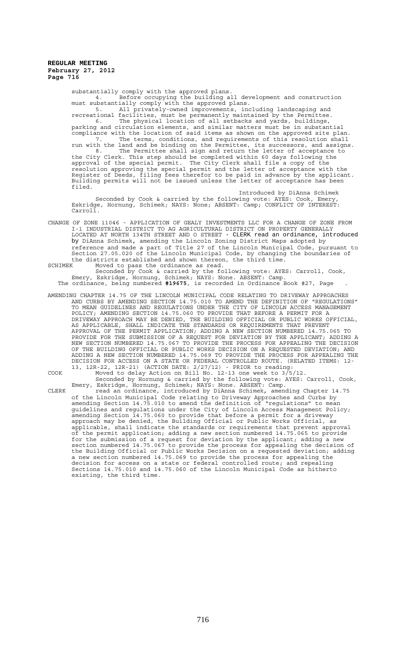substantially comply with the approved plans. 4. Before occupying the building all development and construction must substantially comply with the approved plans. 5. All privately-owned improvements, including landscaping and recreational facilities, must be permanently maintained by the Permittee. 6. The physical location of all setbacks and yards, buildings, parking and circulation elements, and similar matters must be in substantial compliance with the location of said items as shown on the approved site plan. 7. The terms, conditions, and requirements of this resolution shall run with the land and be binding on the Permittee, its successors, and assigns. 8. The Permittee shall sign and return the letter of acceptance to the City Clerk. This step should be completed within 60 days following the approval of the special permit. The City Clerk shall file a copy of the resolution approving the special permit and the letter of acceptance with the Register of Deeds, filing fees therefor to be paid in advance by the applicant. Building permits will not be issued unless the letter of acceptance has been filed.

Introduced by DiAnna Schimek Seconded by Cook & carried by the following vote: AYES: Cook, Emery, Eskridge, Hornung, Schimek; NAYS: None; ABSENT: Camp; CONFLICT OF INTEREST: Carroll

CHANGE OF ZONE 11046 - APPLICATION OF GEALY INVESTMENTS LLC FOR A CHANGE OF ZONE FROM I-1 INDUSTRIAL DISTRICT TO AG AGRICULTURAL DISTRICT ON PROPERTY GENERALLY LOCATED AT NORTH 134TH STREET AND O STREET - CLERK read an ordinance, introduced by DiAnna Schimek, amending the Lincoln Zoning District Maps adopted by reference and made a part of Title 27 of the Lincoln Municipal Code, pursuant to Section 27.05.020 of the Lincoln Municipal Code, by changing the boundaries of the districts established and shown thereon, the third time. SCHIMEK Moved to pass the ordinance as read.

Seconded by Cook & carried by the following vote: AYES: Carroll, Cook, Emery, Eskridge, Hornung, Schimek; NAYS: None. ABSENT: Camp. The ordinance, being numbered **#19675**, is recorded in Ordinance Book #27, Page .

AMENDING CHAPTER 14.75 OF THE LINCOLN MUNICIPAL CODE RELATING TO DRIVEWAY APPROACHES AND CURBS BY AMENDING SECTION 14.75.010 TO AMEND THE DEFINITION OF "REGULATIONS" TO MEAN GUIDELINES AND REGULATIONS UNDER THE CITY OF LINCOLN ACCESS MANAGEMENT POLICY; AMENDING SECTION 14.75.060 TO PROVIDE THAT BEFORE A PERMIT FOR A DRIVEWAY APPROACH MAY BE DENIED, THE BUILDING OFFICIAL OR PUBLIC WORKS OFFICIAL, AS APPLICABLE, SHALL INDICATE THE STANDARDS OR REQUIREMENTS THAT PREVENT APPROVAL OF THE PERMIT APPLICATION; ADDING A NEW SECTION NUMBERED 14.75.065 TO PROVIDE FOR THE SUBMISSION OF A REQUEST FOR DEVIATION BY THE APPLICANT; ADDING A NEW SECTION NUMBERED 14.75.067 TO PROVIDE THE PROCESS FOR APPEALING THE DECISION OF THE BUILDING OFFICIAL OR PUBLIC WORKS DECISION ON A REQUESTED DEVIATION; AND ADDING A NEW SECTION NUMBERED 14.75.069 TO PROVIDE THE PROCESS FOR APPEALING THE DECISION FOR ACCESS ON A STATE OR FEDERAL CONTROLLED ROUTE. (RELATED ITEMS: 12- 13, 12R-22, 12R-21) (ACTION DATE: 2/27/12) - PRIOR to reading:

COOK Moved to delay Action on Bill No. 12-13 one week to  $3/5/12$ . Seconded by Hornung & carried by the following vote: AYES: Carroll, Cook, Emery, Eskridge, Hornung, Schimek; NAYS: None. ABSENT: Camp.

CLERK read an ordinance, introduced by DiAnna Schimek, amending Chapter 14.75 of the Lincoln Municipal Code relating to Driveway Approaches and Curbs by amending Section 14.75.010 to amend the definition of "regulations" to mean guidelines and regulations under the City of Lincoln Access Management Policy; amending Section 14.75.060 to provide that before a permit for a driveway approach may be denied, the Building Official or Public Works Official, as applicable, shall indicate the standards or requirements that prevent approval of the permit application; adding a new section numbered 14.75.065 to provide for the submission of a request for deviation by the applicant; adding a new section numbered 14.75.067 to provide the process for appealing the decision of the Building Official or Public Works Decision on a requested deviation; adding a new section numbered 14.75.069 to provide the process for appealing the decision for access on a state or federal controlled route; and repealing Sections 14.75.010 and 14.75.060 of the Lincoln Municipal Code as hitherto existing, the third time.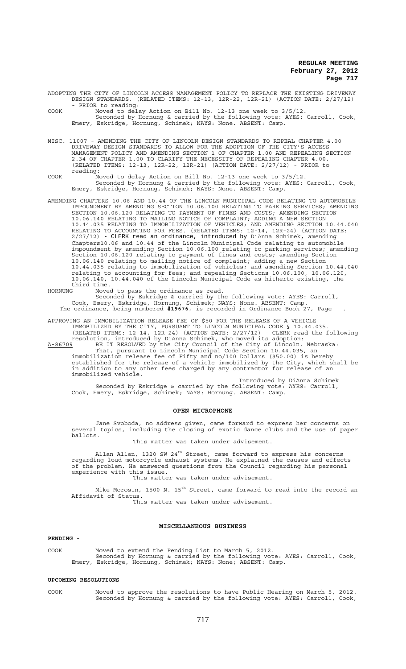ADOPTING THE CITY OF LINCOLN ACCESS MANAGEMENT POLICY TO REPLACE THE EXISTING DRIVEWAY DESIGN STANDARDS. (RELATED ITEMS: 12-13, 12R-22, 12R-21) (ACTION DATE: 2/27/12) - PRIOR to reading:

COOK Moved to delay Action on Bill No. 12-13 one week to 3/5/12. Seconded by Hornung & carried by the following vote: AYES: Carroll, Cook, Emery, Eskridge, Hornung, Schimek; NAYS: None. ABSENT: Camp.

MISC. 11007 - AMENDING THE CITY OF LINCOLN DESIGN STANDARDS TO REPEAL CHAPTER 4.00 DRIVEWAY DESIGN STANDARDS TO ALLOW FOR THE ADOPTION OF THE CITY'S ACCESS MANAGEMENT POLICY AND AMENDING SECTION 1 OF CHAPTER 1.00 AND REPEALING SECTION 2.34 OF CHAPTER 1.00 TO CLARIFY THE NECESSITY OF REPEALING CHAPTER 4.00. (RELATED ITEMS: 12-13, 12R-22, 12R-21) (ACTION DATE: 2/27/12) - PRIOR to reading:

COOK Moved to delay Action on Bill No. 12-13 one week to 3/5/12. Seconded by Hornung & carried by the following vote: AYES: Carroll, Cook, Emery, Eskridge, Hornung, Schimek; NAYS: None. ABSENT: Camp.

AMENDING CHAPTERS 10.06 AND 10.44 OF THE LINCOLN MUNICIPAL CODE RELATING TO AUTOMOBILE IMPOUNDMENT BY AMENDING SECTION 10.06.100 RELATING TO PARKING SERVICES; AMENDING SECTION 10.06.120 RELATING TO PAYMENT OF FINES AND COSTS; AMENDING SECTION 10.06.140 RELATING TO MAILING NOTICE OF COMPLAINT; ADDING A NEW SECTION 10.44.035 RELATING TO IMMOBILIZATION OF VEHICLES; AND AMENDING SECTION 10.44.040 RELATING TO ACCOUNTING FOR FEES. (RELATED ITEMS: 12-14, 12R-24) (ACTION DATE: 2/27/12) - CLERK read an ordinance, introduced by DiAnna Schimek, amending Chapters10.06 and 10.44 of the Lincoln Municipal Code relating to automobile impoundment by amending Section 10.06.100 relating to parking services; amending Section 10.06.120 relating to payment of fines and costs; amending Section 10.06.140 relating to mailing notice of complaint; adding a new Section 10.44.035 relating to immobilization of vehicles; and amending Section 10.44.040 relating to accounting for fees; and repealing Sections 10.06.100, 10.06.120, 10.06.140, 10.44.040 of the Lincoln Municipal Code as hitherto existing, the third time.<br>HORNUNG Move

HORNUNG Moved to pass the ordinance as read. Seconded by Eskridge & carried by the following vote: AYES: Carroll, Cook, Emery, Eskridge, Hornung, Schimek; NAYS: None. ABSENT: Camp.

The ordinance, being numbered **#19676**, is recorded in Ordinance Book 27, Page .

APPROVING AN IMMOBILIZATION RELEASE FEE OF \$50 FOR THE RELEASE OF A VEHICLE IMMOBILIZED BY THE CITY, PURSUANT TO LINCOLN MUNICIPAL CODE § 10.44.035. (RELATED ITEMS: 12-14, 12R-24) (ACTION DATE: 2/27/12) - CLERK read the following

resolution, introduced by DiAnna Schimek, who moved its adoption: A-86709 BE IT RESOLVED by the City Council of the City of Lincoln, Nebraska: That, pursuant to Lincoln Municipal Code Section 10.44.035, an immobilization release fee of Fifty and no/100 Dollars (\$50.00) is hereby established for the release of a vehicle immobilized by the City, which shall be in addition to any other fees charged by any contractor for release of an

immobilized vehicle. Introduced by DiAnna Schimek Seconded by Eskridge & carried by the following vote: AYES: Carroll, Cook, Emery, Eskridge, Schimek; NAYS: Hornung. ABSENT: Camp.

#### **OPEN MICROPHONE**

Jane Svoboda, no address given, came forward to express her concerns on several topics, including the closing of exotic dance clubs and the use of paper ballots.

This matter was taken under advisement.

Allan Allen, 1320 SW 24 $^{\rm th}$  Street, came forward to express his concerns regarding loud motorcycle exhaust systems. He explained the causes and effects of the problem. He answered questions from the Council regarding his personal experience with this issue.

This matter was taken under advisement.

Mike Morosin, 1500 N. 15<sup>th</sup> Street, came forward to read into the record an Affidavit of Status. This matter was taken under advisement.

### **MISCELLANEOUS BUSINESS**

### **PENDING -**

COOK Moved to extend the Pending List to March 5, 2012. Seconded by Hornung & carried by the following vote: AYES: Carroll, Cook, Emery, Eskridge, Hornung, Schimek; NAYS: None; ABSENT: Camp.

#### **UPCOMING RESOLUTIONS**

COOK Moved to approve the resolutions to have Public Hearing on March 5, 2012. Seconded by Hornung & carried by the following vote: AYES: Carroll, Cook,